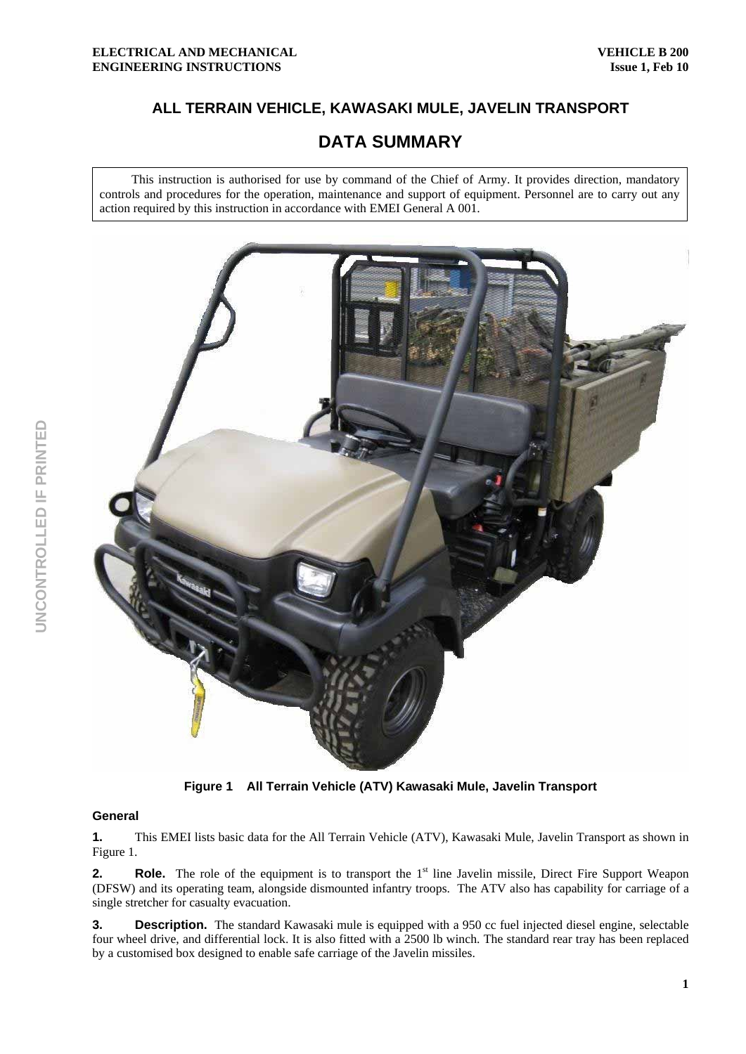## **ALL TERRAIN VEHICLE, KAWASAKI MULE, JAVELIN TRANSPORT**

# **DATA SUMMARY**

This instruction is authorised for use by command of the Chief of Army. It provides direction, mandatory controls and procedures for the operation, maintenance and support of equipment. Personnel are to carry out any action required by this instruction in accordance with EMEI General A 001.



**Figure 1 All Terrain Vehicle (ATV) Kawasaki Mule, Javelin Transport** 

### **General**

**1.** This EMEI lists basic data for the All Terrain Vehicle (ATV), Kawasaki Mule, Javelin Transport as shown in Figure 1.

**2.** Role. The role of the equipment is to transport the 1<sup>st</sup> line Javelin missile, Direct Fire Support Weapon (DFSW) and its operating team, alongside dismounted infantry troops. The ATV also has capability for carriage of a single stretcher for casualty evacuation.

**3. Description.** The standard Kawasaki mule is equipped with a 950 cc fuel injected diesel engine, selectable four wheel drive, and differential lock. It is also fitted with a 2500 lb winch. The standard rear tray has been replaced by a customised box designed to enable safe carriage of the Javelin missiles.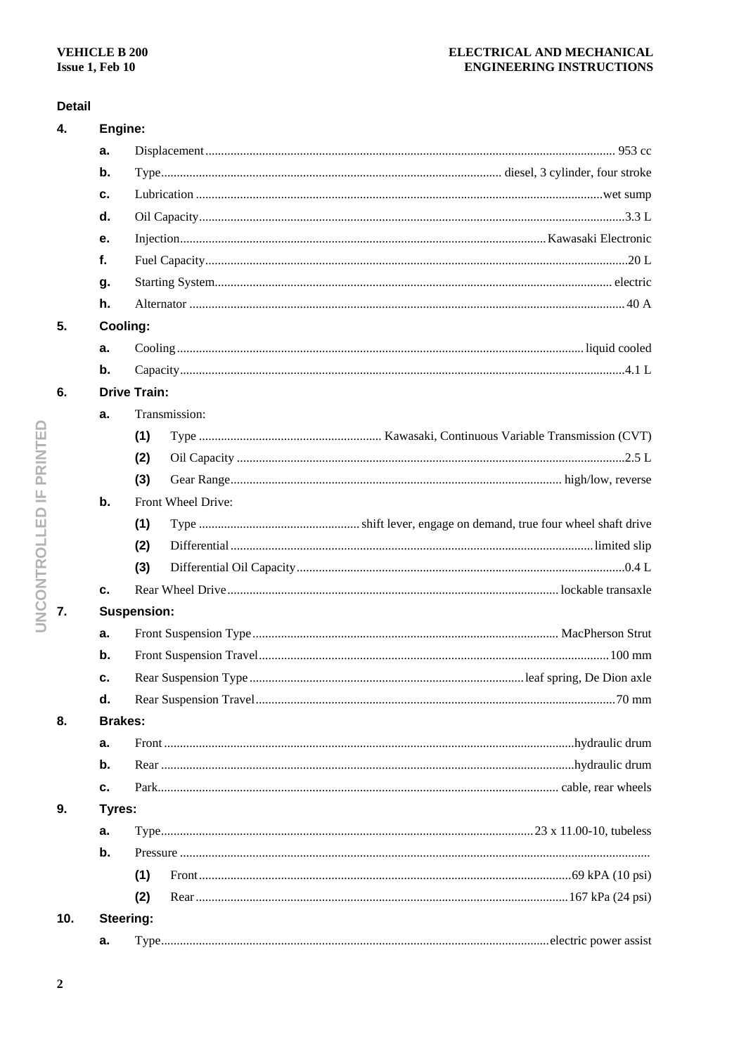## **Detail**

| 4.  |               | Engine:             |  |  |  |
|-----|---------------|---------------------|--|--|--|
|     | а.            |                     |  |  |  |
|     | $\mathbf b$ . |                     |  |  |  |
|     | с.            |                     |  |  |  |
|     | d.            |                     |  |  |  |
|     | е.            |                     |  |  |  |
|     | f.            |                     |  |  |  |
|     | g.            |                     |  |  |  |
|     | h.            |                     |  |  |  |
| 5.  |               | Cooling:            |  |  |  |
|     | a.            |                     |  |  |  |
|     | $\mathbf b$ . |                     |  |  |  |
| 6.  |               | <b>Drive Train:</b> |  |  |  |
|     | a.            | Transmission:       |  |  |  |
|     |               | (1)                 |  |  |  |
|     |               | (2)                 |  |  |  |
|     |               | (3)                 |  |  |  |
|     | b.            | Front Wheel Drive:  |  |  |  |
|     |               | (1)                 |  |  |  |
|     |               | (2)                 |  |  |  |
|     |               | (3)                 |  |  |  |
|     | c.            |                     |  |  |  |
| 7.  |               | <b>Suspension:</b>  |  |  |  |
|     | а.            |                     |  |  |  |
|     | b.            |                     |  |  |  |
|     | c.            |                     |  |  |  |
|     | d.            |                     |  |  |  |
| 8.  |               | <b>Brakes:</b>      |  |  |  |
|     | a.            |                     |  |  |  |
|     | b.            |                     |  |  |  |
|     | c.            |                     |  |  |  |
| 9.  |               | Tyres:              |  |  |  |
|     | a.            |                     |  |  |  |
|     | b.            |                     |  |  |  |
|     |               | (1)                 |  |  |  |
|     |               | (2)                 |  |  |  |
| 10. |               | Steering:           |  |  |  |
|     | а.            |                     |  |  |  |